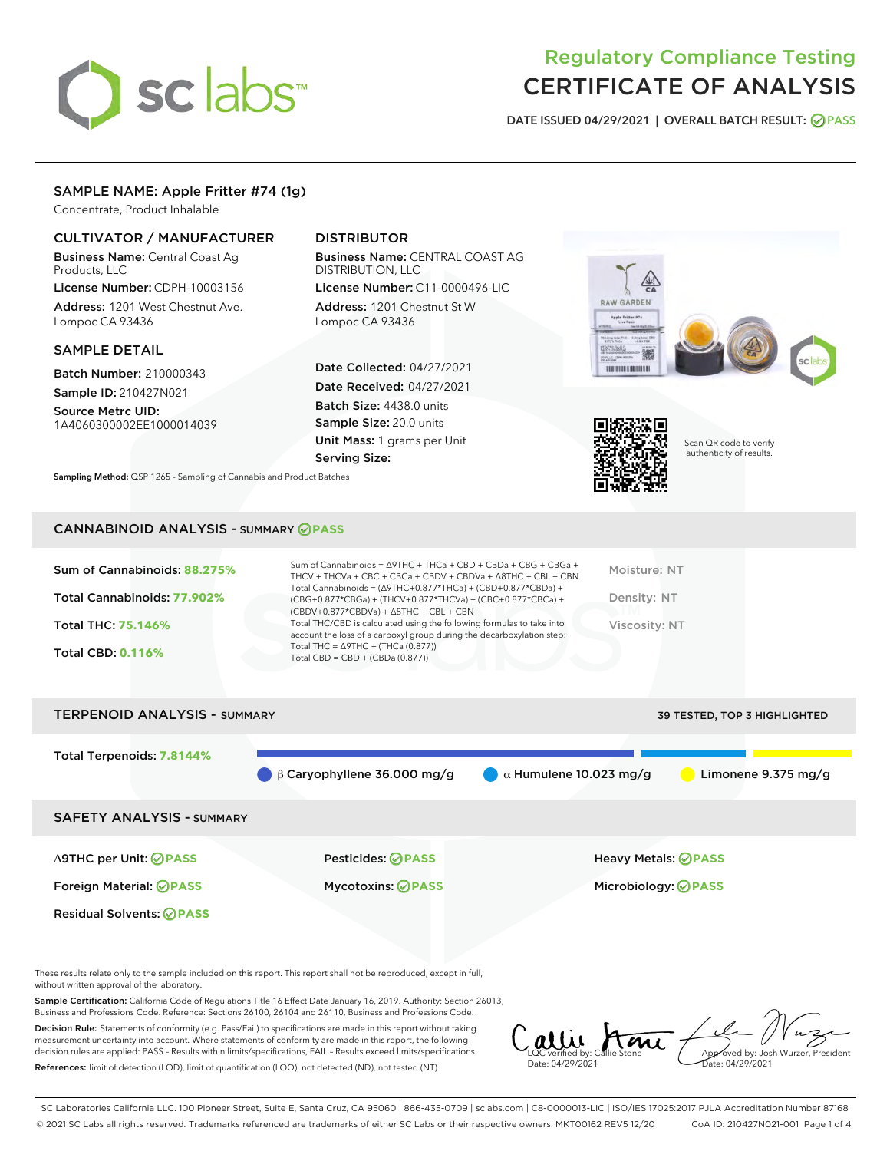# sclabs

# Regulatory Compliance Testing CERTIFICATE OF ANALYSIS

DATE ISSUED 04/29/2021 | OVERALL BATCH RESULT: @ PASS

# SAMPLE NAME: Apple Fritter #74 (1g)

Concentrate, Product Inhalable

# CULTIVATOR / MANUFACTURER

Business Name: Central Coast Ag Products, LLC

License Number: CDPH-10003156 Address: 1201 West Chestnut Ave. Lompoc CA 93436

#### SAMPLE DETAIL

Batch Number: 210000343 Sample ID: 210427N021

Source Metrc UID:

# 1A4060300002EE1000014039

# DISTRIBUTOR

Business Name: CENTRAL COAST AG DISTRIBUTION, LLC

License Number: C11-0000496-LIC Address: 1201 Chestnut St W Lompoc CA 93436

Date Collected: 04/27/2021 Date Received: 04/27/2021 Batch Size: 4438.0 units Sample Size: 20.0 units Unit Mass: 1 grams per Unit Serving Size:

Sampling Method: QSP 1265 - Sampling of Cannabis and Product Batches





Scan QR code to verify authenticity of results.

## CANNABINOID ANALYSIS - SUMMARY **PASS**

| Sum of Cannabinoids: 88.275% | Sum of Cannabinoids = $\triangle$ 9THC + THCa + CBD + CBDa + CBG + CBGa +<br>THCV + THCVa + CBC + CBCa + CBDV + CBDVa + $\triangle$ 8THC + CBL + CBN                                 | Moisture: NT  |
|------------------------------|--------------------------------------------------------------------------------------------------------------------------------------------------------------------------------------|---------------|
| Total Cannabinoids: 77.902%  | Total Cannabinoids = $(\Delta$ 9THC+0.877*THCa) + (CBD+0.877*CBDa) +<br>(CBG+0.877*CBGa) + (THCV+0.877*THCVa) + (CBC+0.877*CBCa) +<br>$(CBDV+0.877*CBDVa) + \Delta 8THC + CBL + CBN$ | Density: NT   |
| <b>Total THC: 75.146%</b>    | Total THC/CBD is calculated using the following formulas to take into<br>account the loss of a carboxyl group during the decarboxylation step:                                       | Viscosity: NT |
| <b>Total CBD: 0.116%</b>     | Total THC = $\triangle$ 9THC + (THCa (0.877))<br>Total CBD = $CBD + (CBDa (0.877))$                                                                                                  |               |
|                              |                                                                                                                                                                                      |               |

# TERPENOID ANALYSIS - SUMMARY 39 TESTED, TOP 3 HIGHLIGHTED Total Terpenoids: **7.8144% β Caryophyllene 36.000 mg/g a Mumulene 10.023 mg/g b Limonene 9.375 mg/g** SAFETY ANALYSIS - SUMMARY Δ9THC per Unit: **PASS** Pesticides: **PASS** Heavy Metals: **PASS** Foreign Material: **PASS** Mycotoxins: **PASS** Microbiology: **PASS** Residual Solvents: **OPASS**

These results relate only to the sample included on this report. This report shall not be reproduced, except in full, without written approval of the laboratory.

Sample Certification: California Code of Regulations Title 16 Effect Date January 16, 2019. Authority: Section 26013, Business and Professions Code. Reference: Sections 26100, 26104 and 26110, Business and Professions Code.

Decision Rule: Statements of conformity (e.g. Pass/Fail) to specifications are made in this report without taking measurement uncertainty into account. Where statements of conformity are made in this report, the following decision rules are applied: PASS – Results within limits/specifications, FAIL – Results exceed limits/specifications. References: limit of detection (LOD), limit of quantification (LOQ), not detected (ND), not tested (NT)

LQC verified by: Callie Stone Date: 04/29/2021 **A**<br>Approved by: Josh Wurzer, President Date: 04/29/2021

SC Laboratories California LLC. 100 Pioneer Street, Suite E, Santa Cruz, CA 95060 | 866-435-0709 | sclabs.com | C8-0000013-LIC | ISO/IES 17025:2017 PJLA Accreditation Number 87168 © 2021 SC Labs all rights reserved. Trademarks referenced are trademarks of either SC Labs or their respective owners. MKT00162 REV5 12/20 CoA ID: 210427N021-001 Page 1 of 4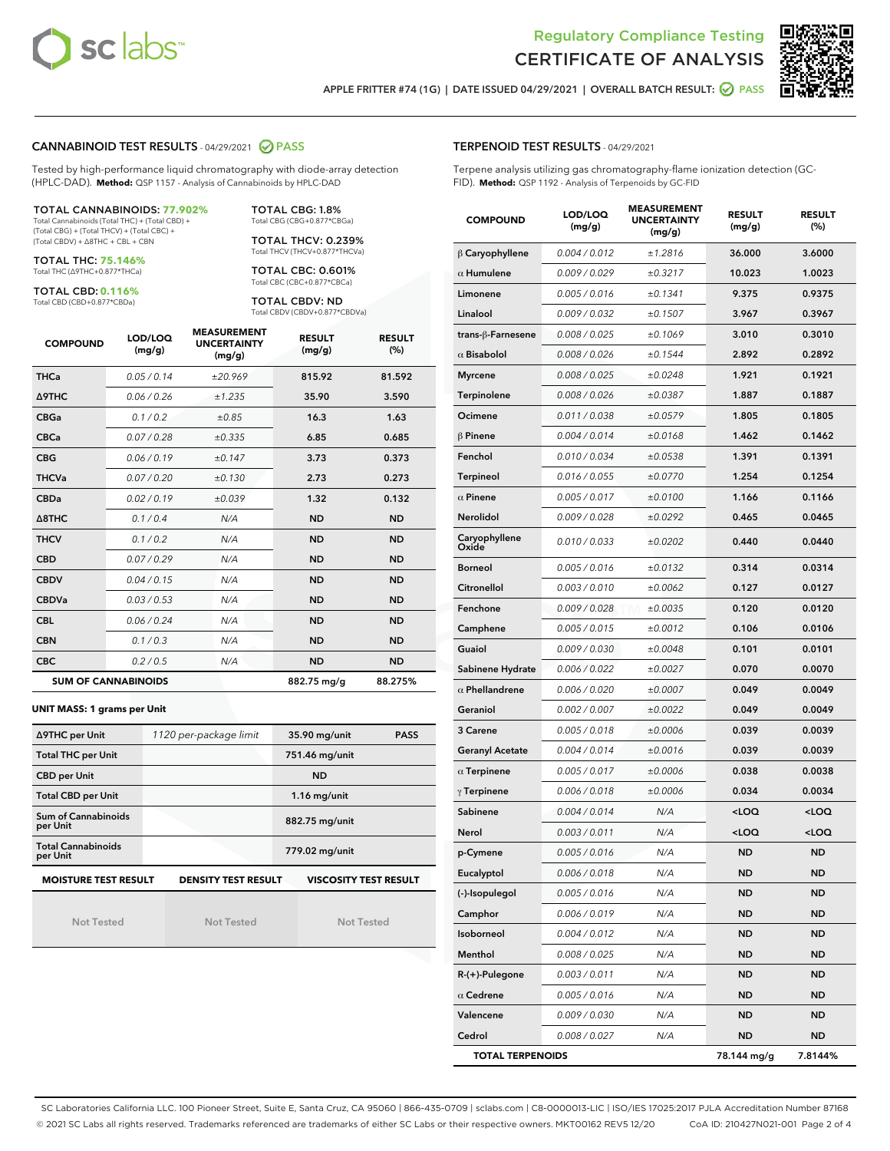



APPLE FRITTER #74 (1G) | DATE ISSUED 04/29/2021 | OVERALL BATCH RESULT: 2 PASS

#### CANNABINOID TEST RESULTS - 04/29/2021 2 PASS

Tested by high-performance liquid chromatography with diode-array detection (HPLC-DAD). **Method:** QSP 1157 - Analysis of Cannabinoids by HPLC-DAD

#### TOTAL CANNABINOIDS: **77.902%**

Total Cannabinoids (Total THC) + (Total CBD) + (Total CBG) + (Total THCV) + (Total CBC) + (Total CBDV) + ∆8THC + CBL + CBN

TOTAL THC: **75.146%** Total THC (∆9THC+0.877\*THCa)

TOTAL CBD: **0.116%**

Total CBD (CBD+0.877\*CBDa)

TOTAL CBG: 1.8% Total CBG (CBG+0.877\*CBGa)

TOTAL THCV: 0.239% Total THCV (THCV+0.877\*THCVa)

TOTAL CBC: 0.601% Total CBC (CBC+0.877\*CBCa)

TOTAL CBDV: ND Total CBDV (CBDV+0.877\*CBDVa)

| <b>COMPOUND</b> | LOD/LOQ<br>(mg/g)          | <b>MEASUREMENT</b><br><b>UNCERTAINTY</b><br>(mg/g) | <b>RESULT</b><br>(mg/g) | <b>RESULT</b><br>(%) |
|-----------------|----------------------------|----------------------------------------------------|-------------------------|----------------------|
| <b>THCa</b>     | 0.05 / 0.14                | ±20.969                                            | 815.92                  | 81.592               |
| <b>A9THC</b>    | 0.06 / 0.26                | ±1.235                                             | 35.90                   | 3.590                |
| <b>CBGa</b>     | 0.1 / 0.2                  | ±0.85                                              | 16.3                    | 1.63                 |
| <b>CBCa</b>     | 0.07/0.28                  | ±0.335                                             | 6.85                    | 0.685                |
| <b>CBG</b>      | 0.06/0.19                  | ±0.147                                             | 3.73                    | 0.373                |
| <b>THCVa</b>    | 0.07/0.20                  | ±0.130                                             | 2.73                    | 0.273                |
| <b>CBDa</b>     | 0.02/0.19                  | ±0.039                                             | 1.32                    | 0.132                |
| A8THC           | 0.1/0.4                    | N/A                                                | <b>ND</b>               | <b>ND</b>            |
| <b>THCV</b>     | 0.1/0.2                    | N/A                                                | <b>ND</b>               | <b>ND</b>            |
| <b>CBD</b>      | 0.07/0.29                  | N/A                                                | <b>ND</b>               | <b>ND</b>            |
| <b>CBDV</b>     | 0.04 / 0.15                | N/A                                                | <b>ND</b>               | <b>ND</b>            |
| <b>CBDVa</b>    | 0.03/0.53                  | N/A                                                | <b>ND</b>               | <b>ND</b>            |
| <b>CBL</b>      | 0.06 / 0.24                | N/A                                                | <b>ND</b>               | <b>ND</b>            |
| <b>CBN</b>      | 0.1/0.3                    | N/A                                                | <b>ND</b>               | <b>ND</b>            |
| <b>CBC</b>      | 0.2 / 0.5                  | N/A                                                | <b>ND</b>               | <b>ND</b>            |
|                 | <b>SUM OF CANNABINOIDS</b> |                                                    | 882.75 mg/g             | 88.275%              |

#### **UNIT MASS: 1 grams per Unit**

| ∆9THC per Unit                        | 1120 per-package limit     | 35.90 mg/unit<br><b>PASS</b> |  |  |
|---------------------------------------|----------------------------|------------------------------|--|--|
| <b>Total THC per Unit</b>             |                            | 751.46 mg/unit               |  |  |
| <b>CBD per Unit</b>                   |                            | <b>ND</b>                    |  |  |
| <b>Total CBD per Unit</b>             |                            | $1.16$ mg/unit               |  |  |
| Sum of Cannabinoids<br>per Unit       |                            | 882.75 mg/unit               |  |  |
| <b>Total Cannabinoids</b><br>per Unit |                            | 779.02 mg/unit               |  |  |
| <b>MOISTURE TEST RESULT</b>           | <b>DENSITY TEST RESULT</b> | <b>VISCOSITY TEST RESULT</b> |  |  |

Not Tested

Not Tested

Not Tested

#### TERPENOID TEST RESULTS - 04/29/2021

Terpene analysis utilizing gas chromatography-flame ionization detection (GC-FID). **Method:** QSP 1192 - Analysis of Terpenoids by GC-FID

| <b>COMPOUND</b>         | LOD/LOQ<br>(mg/g) | <b>MEASUREMENT</b><br><b>UNCERTAINTY</b><br>(mg/g) | <b>RESULT</b><br>(mg/g)                         | <b>RESULT</b><br>$(\%)$ |
|-------------------------|-------------------|----------------------------------------------------|-------------------------------------------------|-------------------------|
| $\beta$ Caryophyllene   | 0.004 / 0.012     | ±1.2816                                            | 36.000                                          | 3.6000                  |
| $\alpha$ Humulene       | 0.009 / 0.029     | ±0.3217                                            | 10.023                                          | 1.0023                  |
| Limonene                | 0.005 / 0.016     | ±0.1341                                            | 9.375                                           | 0.9375                  |
| Linalool                | 0.009 / 0.032     | ±0.1507                                            | 3.967                                           | 0.3967                  |
| trans-ß-Farnesene       | 0.008 / 0.025     | ±0.1069                                            | 3.010                                           | 0.3010                  |
| $\alpha$ Bisabolol      | 0.008 / 0.026     | ±0.1544                                            | 2.892                                           | 0.2892                  |
| <b>Myrcene</b>          | 0.008 / 0.025     | ±0.0248                                            | 1.921                                           | 0.1921                  |
| <b>Terpinolene</b>      | 0.008 / 0.026     | ±0.0387                                            | 1.887                                           | 0.1887                  |
| Ocimene                 | 0.011 / 0.038     | ±0.0579                                            | 1.805                                           | 0.1805                  |
| $\beta$ Pinene          | 0.004 / 0.014     | ±0.0168                                            | 1.462                                           | 0.1462                  |
| Fenchol                 | 0.010 / 0.034     | ±0.0538                                            | 1.391                                           | 0.1391                  |
| Terpineol               | 0.016 / 0.055     | ±0.0770                                            | 1.254                                           | 0.1254                  |
| $\alpha$ Pinene         | 0.005 / 0.017     | ±0.0100                                            | 1.166                                           | 0.1166                  |
| Nerolidol               | 0.009 / 0.028     | ±0.0292                                            | 0.465                                           | 0.0465                  |
| Caryophyllene<br>Oxide  | 0.010 / 0.033     | ±0.0202                                            | 0.440                                           | 0.0440                  |
| <b>Borneol</b>          | 0.005 / 0.016     | ±0.0132                                            | 0.314                                           | 0.0314                  |
| Citronellol             | 0.003 / 0.010     | ±0.0062                                            | 0.127                                           | 0.0127                  |
| Fenchone                | 0.009 / 0.028     | ±0.0035                                            | 0.120                                           | 0.0120                  |
| Camphene                | 0.005 / 0.015     | ±0.0012                                            | 0.106                                           | 0.0106                  |
| Guaiol                  | 0.009 / 0.030     | ±0.0048                                            | 0.101                                           | 0.0101                  |
| Sabinene Hydrate        | 0.006 / 0.022     | ±0.0027                                            | 0.070                                           | 0.0070                  |
| $\alpha$ Phellandrene   | 0.006 / 0.020     | ±0.0007                                            | 0.049                                           | 0.0049                  |
| Geraniol                | 0.002 / 0.007     | ±0.0022                                            | 0.049                                           | 0.0049                  |
| 3 Carene                | 0.005 / 0.018     | ±0.0006                                            | 0.039                                           | 0.0039                  |
| <b>Geranyl Acetate</b>  | 0.004 / 0.014     | ±0.0016                                            | 0.039                                           | 0.0039                  |
| $\alpha$ Terpinene      | 0.005 / 0.017     | ±0.0006                                            | 0.038                                           | 0.0038                  |
| $\gamma$ Terpinene      | 0.006 / 0.018     | ±0.0006                                            | 0.034                                           | 0.0034                  |
| Sabinene                | 0.004 / 0.014     | N/A                                                | <loq< th=""><th><loq< th=""></loq<></th></loq<> | <loq< th=""></loq<>     |
| Nerol                   | 0.003 / 0.011     | N/A                                                | <loq< th=""><th><loq< th=""></loq<></th></loq<> | <loq< th=""></loq<>     |
| p-Cymene                | 0.005 / 0.016     | N/A                                                | <b>ND</b>                                       | <b>ND</b>               |
| Eucalyptol              | 0.006 / 0.018     | N/A                                                | ND                                              | <b>ND</b>               |
| (-)-Isopulegol          | 0.005 / 0.016     | N/A                                                | ND                                              | ND                      |
| Camphor                 | 0.006 / 0.019     | N/A                                                | ND                                              | <b>ND</b>               |
| Isoborneol              | 0.004 / 0.012     | N/A                                                | ND                                              | <b>ND</b>               |
| Menthol                 | 0.008 / 0.025     | N/A                                                | ND                                              | ND                      |
| R-(+)-Pulegone          | 0.003 / 0.011     | N/A                                                | ND                                              | ND                      |
| $\alpha$ Cedrene        | 0.005 / 0.016     | N/A                                                | ND                                              | <b>ND</b>               |
| Valencene               | 0.009 / 0.030     | N/A                                                | ND                                              | ND                      |
| Cedrol                  | 0.008 / 0.027     | N/A                                                | ND                                              | <b>ND</b>               |
| <b>TOTAL TERPENOIDS</b> |                   |                                                    | 78.144 mg/g                                     | 7.8144%                 |

SC Laboratories California LLC. 100 Pioneer Street, Suite E, Santa Cruz, CA 95060 | 866-435-0709 | sclabs.com | C8-0000013-LIC | ISO/IES 17025:2017 PJLA Accreditation Number 87168 © 2021 SC Labs all rights reserved. Trademarks referenced are trademarks of either SC Labs or their respective owners. MKT00162 REV5 12/20 CoA ID: 210427N021-001 Page 2 of 4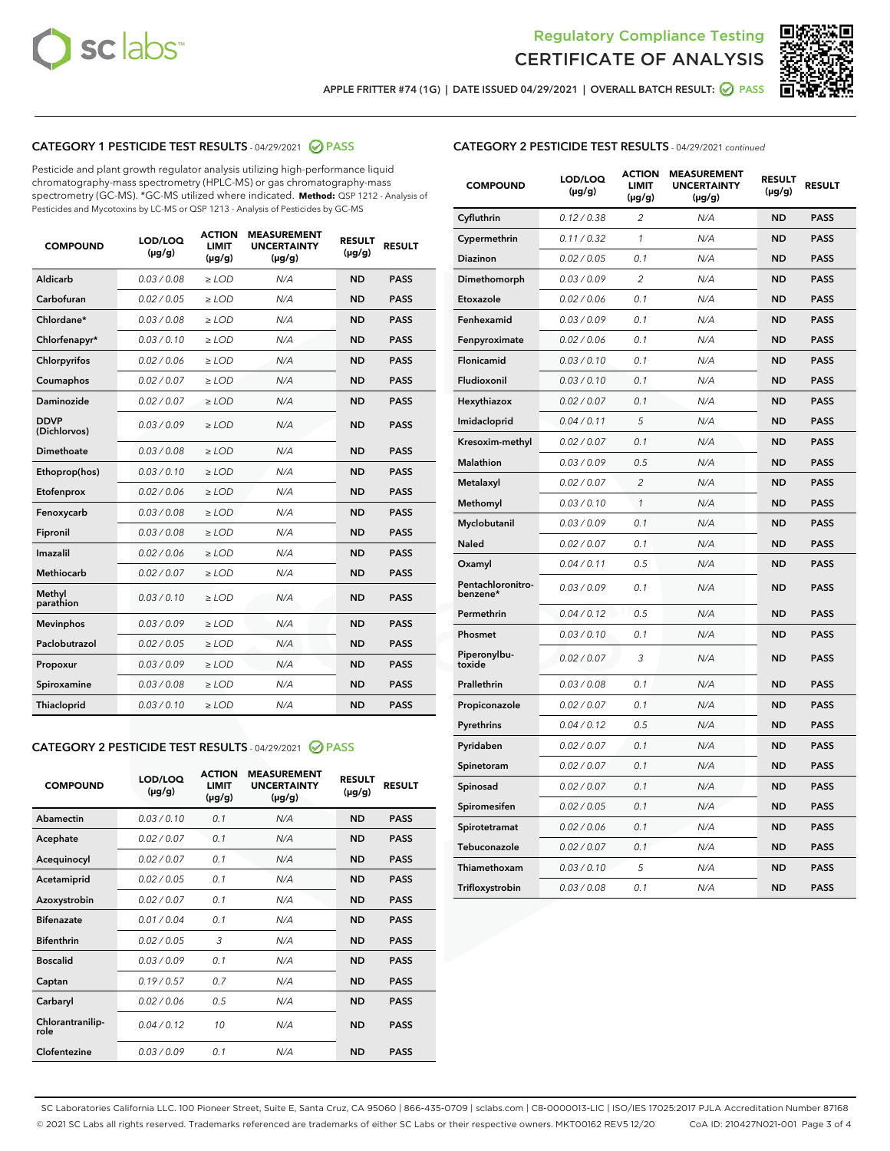



APPLE FRITTER #74 (1G) | DATE ISSUED 04/29/2021 | OVERALL BATCH RESULT:  $\bigcirc$  PASS

# CATEGORY 1 PESTICIDE TEST RESULTS - 04/29/2021 2 PASS

Pesticide and plant growth regulator analysis utilizing high-performance liquid chromatography-mass spectrometry (HPLC-MS) or gas chromatography-mass spectrometry (GC-MS). \*GC-MS utilized where indicated. **Method:** QSP 1212 - Analysis of Pesticides and Mycotoxins by LC-MS or QSP 1213 - Analysis of Pesticides by GC-MS

| <b>COMPOUND</b>             | LOD/LOQ<br>$(\mu g/g)$ | <b>ACTION</b><br><b>LIMIT</b><br>$(\mu g/g)$ | <b>MEASUREMENT</b><br><b>UNCERTAINTY</b><br>$(\mu g/g)$ | <b>RESULT</b><br>$(\mu g/g)$ | <b>RESULT</b> |
|-----------------------------|------------------------|----------------------------------------------|---------------------------------------------------------|------------------------------|---------------|
| Aldicarb                    | 0.03 / 0.08            | $\geq$ LOD                                   | N/A                                                     | <b>ND</b>                    | <b>PASS</b>   |
| Carbofuran                  | 0.02 / 0.05            | $>$ LOD                                      | N/A                                                     | <b>ND</b>                    | <b>PASS</b>   |
| Chlordane*                  | 0.03 / 0.08            | $\ge$ LOD                                    | N/A                                                     | <b>ND</b>                    | <b>PASS</b>   |
| Chlorfenapyr*               | 0.03/0.10              | $>$ LOD                                      | N/A                                                     | <b>ND</b>                    | <b>PASS</b>   |
| Chlorpyrifos                | 0.02 / 0.06            | ≥ LOD                                        | N/A                                                     | <b>ND</b>                    | <b>PASS</b>   |
| Coumaphos                   | 0.02 / 0.07            | $\ge$ LOD                                    | N/A                                                     | <b>ND</b>                    | <b>PASS</b>   |
| Daminozide                  | 0.02 / 0.07            | $\geq$ LOD                                   | N/A                                                     | <b>ND</b>                    | <b>PASS</b>   |
| <b>DDVP</b><br>(Dichlorvos) | 0.03/0.09              | $\geq$ LOD                                   | N/A                                                     | <b>ND</b>                    | <b>PASS</b>   |
| Dimethoate                  | 0.03 / 0.08            | $>$ LOD                                      | N/A                                                     | <b>ND</b>                    | <b>PASS</b>   |
| Ethoprop(hos)               | 0.03/0.10              | $\ge$ LOD                                    | N/A                                                     | <b>ND</b>                    | <b>PASS</b>   |
| Etofenprox                  | 0.02 / 0.06            | $>$ LOD                                      | N/A                                                     | <b>ND</b>                    | <b>PASS</b>   |
| Fenoxycarb                  | 0.03 / 0.08            | $\geq$ LOD                                   | N/A                                                     | <b>ND</b>                    | <b>PASS</b>   |
| Fipronil                    | 0.03/0.08              | $>$ LOD                                      | N/A                                                     | <b>ND</b>                    | <b>PASS</b>   |
| Imazalil                    | 0.02 / 0.06            | $\geq$ LOD                                   | N/A                                                     | <b>ND</b>                    | <b>PASS</b>   |
| Methiocarb                  | 0.02 / 0.07            | $\ge$ LOD                                    | N/A                                                     | <b>ND</b>                    | <b>PASS</b>   |
| Methyl<br>parathion         | 0.03/0.10              | $\geq$ LOD                                   | N/A                                                     | <b>ND</b>                    | <b>PASS</b>   |
| <b>Mevinphos</b>            | 0.03/0.09              | $>$ LOD                                      | N/A                                                     | <b>ND</b>                    | <b>PASS</b>   |
| Paclobutrazol               | 0.02 / 0.05            | $\geq$ LOD                                   | N/A                                                     | <b>ND</b>                    | <b>PASS</b>   |
| Propoxur                    | 0.03/0.09              | $\ge$ LOD                                    | N/A                                                     | <b>ND</b>                    | <b>PASS</b>   |
| Spiroxamine                 | 0.03 / 0.08            | $\ge$ LOD                                    | N/A                                                     | <b>ND</b>                    | <b>PASS</b>   |
| Thiacloprid                 | 0.03/0.10              | $\geq$ LOD                                   | N/A                                                     | <b>ND</b>                    | <b>PASS</b>   |

#### CATEGORY 2 PESTICIDE TEST RESULTS - 04/29/2021 @ PASS

| <b>COMPOUND</b>          | LOD/LOO<br>$(\mu g/g)$ | <b>ACTION</b><br>LIMIT<br>$(\mu g/g)$ | <b>MEASUREMENT</b><br><b>UNCERTAINTY</b><br>$(\mu g/g)$ | <b>RESULT</b><br>$(\mu g/g)$ | <b>RESULT</b> |
|--------------------------|------------------------|---------------------------------------|---------------------------------------------------------|------------------------------|---------------|
| Abamectin                | 0.03/0.10              | 0.1                                   | N/A                                                     | <b>ND</b>                    | <b>PASS</b>   |
| Acephate                 | 0.02/0.07              | 0.1                                   | N/A                                                     | <b>ND</b>                    | <b>PASS</b>   |
| Acequinocyl              | 0.02/0.07              | 0.1                                   | N/A                                                     | <b>ND</b>                    | <b>PASS</b>   |
| Acetamiprid              | 0.02/0.05              | 0.1                                   | N/A                                                     | <b>ND</b>                    | <b>PASS</b>   |
| Azoxystrobin             | 0.02/0.07              | 0.1                                   | N/A                                                     | <b>ND</b>                    | <b>PASS</b>   |
| <b>Bifenazate</b>        | 0.01/0.04              | 0.1                                   | N/A                                                     | <b>ND</b>                    | <b>PASS</b>   |
| <b>Bifenthrin</b>        | 0.02 / 0.05            | 3                                     | N/A                                                     | <b>ND</b>                    | <b>PASS</b>   |
| <b>Boscalid</b>          | 0.03/0.09              | 0.1                                   | N/A                                                     | <b>ND</b>                    | <b>PASS</b>   |
| Captan                   | 0.19/0.57              | 0.7                                   | N/A                                                     | <b>ND</b>                    | <b>PASS</b>   |
| Carbaryl                 | 0.02/0.06              | 0.5                                   | N/A                                                     | <b>ND</b>                    | <b>PASS</b>   |
| Chlorantranilip-<br>role | 0.04/0.12              | 10                                    | N/A                                                     | <b>ND</b>                    | <b>PASS</b>   |
| Clofentezine             | 0.03/0.09              | 0.1                                   | N/A                                                     | <b>ND</b>                    | <b>PASS</b>   |

| <b>COMPOUND</b>               | LOD/LOQ<br>(µg/g) | <b>ACTION</b><br>LIMIT<br>(µg/g) | <b>MEASUREMENT</b><br><b>UNCERTAINTY</b><br>(µg/g) | <b>RESULT</b><br>(µg/g) | <b>RESULT</b> |
|-------------------------------|-------------------|----------------------------------|----------------------------------------------------|-------------------------|---------------|
| Cyfluthrin                    | 0.12 / 0.38       | $\overline{c}$                   | N/A                                                | <b>ND</b>               | <b>PASS</b>   |
| Cypermethrin                  | 0.11/0.32         | 1                                | N/A                                                | <b>ND</b>               | <b>PASS</b>   |
| <b>Diazinon</b>               | 0.02 / 0.05       | 0.1                              | N/A                                                | <b>ND</b>               | <b>PASS</b>   |
| Dimethomorph                  | 0.03 / 0.09       | 2                                | N/A                                                | <b>ND</b>               | <b>PASS</b>   |
| Etoxazole                     | 0.02 / 0.06       | 0.1                              | N/A                                                | <b>ND</b>               | <b>PASS</b>   |
| Fenhexamid                    | 0.03 / 0.09       | 0.1                              | N/A                                                | <b>ND</b>               | <b>PASS</b>   |
| Fenpyroximate                 | 0.02 / 0.06       | 0.1                              | N/A                                                | <b>ND</b>               | <b>PASS</b>   |
| Flonicamid                    | 0.03 / 0.10       | 0.1                              | N/A                                                | <b>ND</b>               | <b>PASS</b>   |
| Fludioxonil                   | 0.03/0.10         | 0.1                              | N/A                                                | <b>ND</b>               | <b>PASS</b>   |
| Hexythiazox                   | 0.02 / 0.07       | 0.1                              | N/A                                                | <b>ND</b>               | <b>PASS</b>   |
| Imidacloprid                  | 0.04 / 0.11       | 5                                | N/A                                                | <b>ND</b>               | <b>PASS</b>   |
| Kresoxim-methyl               | 0.02 / 0.07       | 0.1                              | N/A                                                | <b>ND</b>               | <b>PASS</b>   |
| <b>Malathion</b>              | 0.03 / 0.09       | 0.5                              | N/A                                                | <b>ND</b>               | <b>PASS</b>   |
| Metalaxyl                     | 0.02 / 0.07       | $\overline{c}$                   | N/A                                                | <b>ND</b>               | <b>PASS</b>   |
| Methomyl                      | 0.03 / 0.10       | 1                                | N/A                                                | <b>ND</b>               | <b>PASS</b>   |
| Myclobutanil                  | 0.03/0.09         | 0.1                              | N/A                                                | <b>ND</b>               | <b>PASS</b>   |
| Naled                         | 0.02 / 0.07       | 0.1                              | N/A                                                | <b>ND</b>               | <b>PASS</b>   |
| Oxamyl                        | 0.04 / 0.11       | 0.5                              | N/A                                                | <b>ND</b>               | <b>PASS</b>   |
| Pentachloronitro-<br>benzene* | 0.03/0.09         | 0.1                              | N/A                                                | <b>ND</b>               | <b>PASS</b>   |
| Permethrin                    | 0.04 / 0.12       | 0.5                              | N/A                                                | <b>ND</b>               | <b>PASS</b>   |
| Phosmet                       | 0.03 / 0.10       | 0.1                              | N/A                                                | <b>ND</b>               | <b>PASS</b>   |
| Piperonylbu-<br>toxide        | 0.02 / 0.07       | 3                                | N/A                                                | <b>ND</b>               | <b>PASS</b>   |
| Prallethrin                   | 0.03 / 0.08       | 0.1                              | N/A                                                | <b>ND</b>               | <b>PASS</b>   |
| Propiconazole                 | 0.02 / 0.07       | 0.1                              | N/A                                                | <b>ND</b>               | <b>PASS</b>   |
| Pyrethrins                    | 0.04 / 0.12       | 0.5                              | N/A                                                | <b>ND</b>               | <b>PASS</b>   |
| Pyridaben                     | 0.02 / 0.07       | 0.1                              | N/A                                                | <b>ND</b>               | <b>PASS</b>   |
| Spinetoram                    | 0.02 / 0.07       | 0.1                              | N/A                                                | <b>ND</b>               | <b>PASS</b>   |
| Spinosad                      | 0.02 / 0.07       | 0.1                              | N/A                                                | <b>ND</b>               | <b>PASS</b>   |
| Spiromesifen                  | 0.02 / 0.05       | 0.1                              | N/A                                                | <b>ND</b>               | <b>PASS</b>   |
| Spirotetramat                 | 0.02 / 0.06       | 0.1                              | N/A                                                | <b>ND</b>               | <b>PASS</b>   |
| Tebuconazole                  | 0.02 / 0.07       | 0.1                              | N/A                                                | <b>ND</b>               | <b>PASS</b>   |
| Thiamethoxam                  | 0.03 / 0.10       | 5                                | N/A                                                | <b>ND</b>               | <b>PASS</b>   |
| Trifloxystrobin               | 0.03 / 0.08       | 0.1                              | N/A                                                | <b>ND</b>               | <b>PASS</b>   |

SC Laboratories California LLC. 100 Pioneer Street, Suite E, Santa Cruz, CA 95060 | 866-435-0709 | sclabs.com | C8-0000013-LIC | ISO/IES 17025:2017 PJLA Accreditation Number 87168 © 2021 SC Labs all rights reserved. Trademarks referenced are trademarks of either SC Labs or their respective owners. MKT00162 REV5 12/20 CoA ID: 210427N021-001 Page 3 of 4